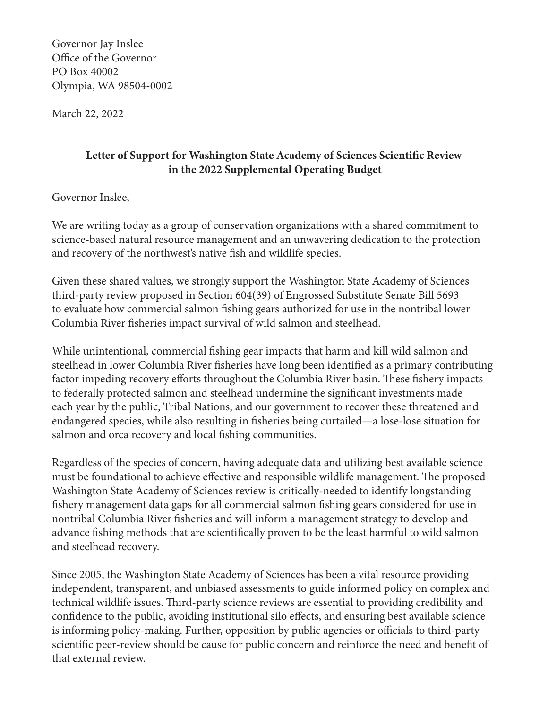Governor Jay Inslee Office of the Governor PO Box 40002 Olympia, WA 98504-0002

March 22, 2022

## **Letter of Support for Washington State Academy of Sciences Scientific Review in the 2022 Supplemental Operating Budget**

## Governor Inslee,

We are writing today as a group of conservation organizations with a shared commitment to science-based natural resource management and an unwavering dedication to the protection and recovery of the northwest's native fish and wildlife species.

Given these shared values, we strongly support the Washington State Academy of Sciences third-party review proposed in Section 604(39) of Engrossed Substitute Senate Bill 5693 to evaluate how commercial salmon fishing gears authorized for use in the nontribal lower Columbia River fisheries impact survival of wild salmon and steelhead.

While unintentional, commercial fishing gear impacts that harm and kill wild salmon and steelhead in lower Columbia River fisheries have long been identified as a primary contributing factor impeding recovery efforts throughout the Columbia River basin. These fishery impacts to federally protected salmon and steelhead undermine the significant investments made each year by the public, Tribal Nations, and our government to recover these threatened and endangered species, while also resulting in fisheries being curtailed—a lose-lose situation for salmon and orca recovery and local fishing communities.

Regardless of the species of concern, having adequate data and utilizing best available science must be foundational to achieve effective and responsible wildlife management. The proposed Washington State Academy of Sciences review is critically-needed to identify longstanding fishery management data gaps for all commercial salmon fishing gears considered for use in nontribal Columbia River fisheries and will inform a management strategy to develop and advance fishing methods that are scientifically proven to be the least harmful to wild salmon and steelhead recovery.

Since 2005, the Washington State Academy of Sciences has been a vital resource providing independent, transparent, and unbiased assessments to guide informed policy on complex and technical wildlife issues. Third-party science reviews are essential to providing credibility and confidence to the public, avoiding institutional silo effects, and ensuring best available science is informing policy-making. Further, opposition by public agencies or officials to third-party scientific peer-review should be cause for public concern and reinforce the need and benefit of that external review.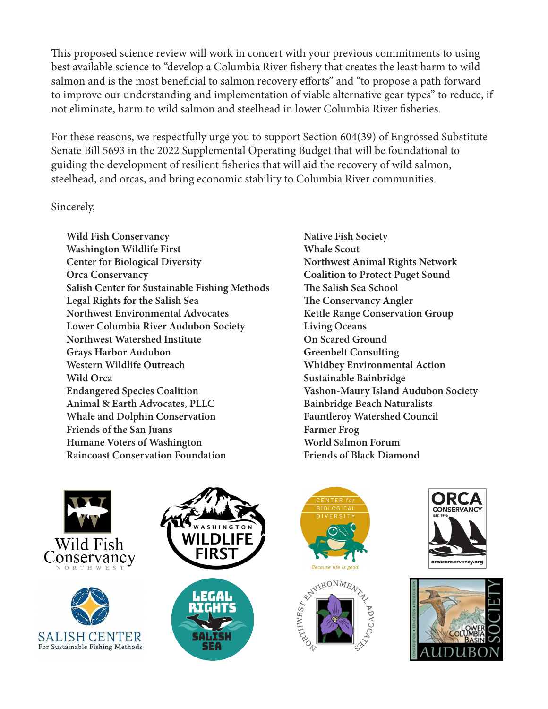This proposed science review will work in concert with your previous commitments to using best available science to "develop a Columbia River fishery that creates the least harm to wild salmon and is the most beneficial to salmon recovery efforts" and "to propose a path forward to improve our understanding and implementation of viable alternative gear types" to reduce, if not eliminate, harm to wild salmon and steelhead in lower Columbia River fisheries.

For these reasons, we respectfully urge you to support Section 604(39) of Engrossed Substitute Senate Bill 5693 in the 2022 Supplemental Operating Budget that will be foundational to guiding the development of resilient fisheries that will aid the recovery of wild salmon, steelhead, and orcas, and bring economic stability to Columbia River communities.

## Sincerely,

**Wild Fish Conservancy Washington Wildlife First Center for Biological Diversity Orca Conservancy Salish Center for Sustainable Fishing Methods Legal Rights for the Salish Sea Northwest Environmental Advocates Lower Columbia River Audubon Society Northwest Watershed Institute Grays Harbor Audubon Western Wildlife Outreach Wild Orca Endangered Species Coalition Animal & Earth Advocates, PLLC Whale and Dolphin Conservation Friends of the San Juans Humane Voters of Washington Raincoast Conservation Foundation**

**Native Fish Society Whale Scout Northwest Animal Rights Network Coalition to Protect Puget Sound The Salish Sea School The Conservancy Angler Kettle Range Conservation Group Living Oceans On Scared Ground Greenbelt Consulting Whidbey Environmental Action Sustainable Bainbridge Vashon-Maury Island Audubon Society Bainbridge Beach Naturalists Fauntleroy Watershed Council Farmer Frog World Salmon Forum Friends of Black Diamond**